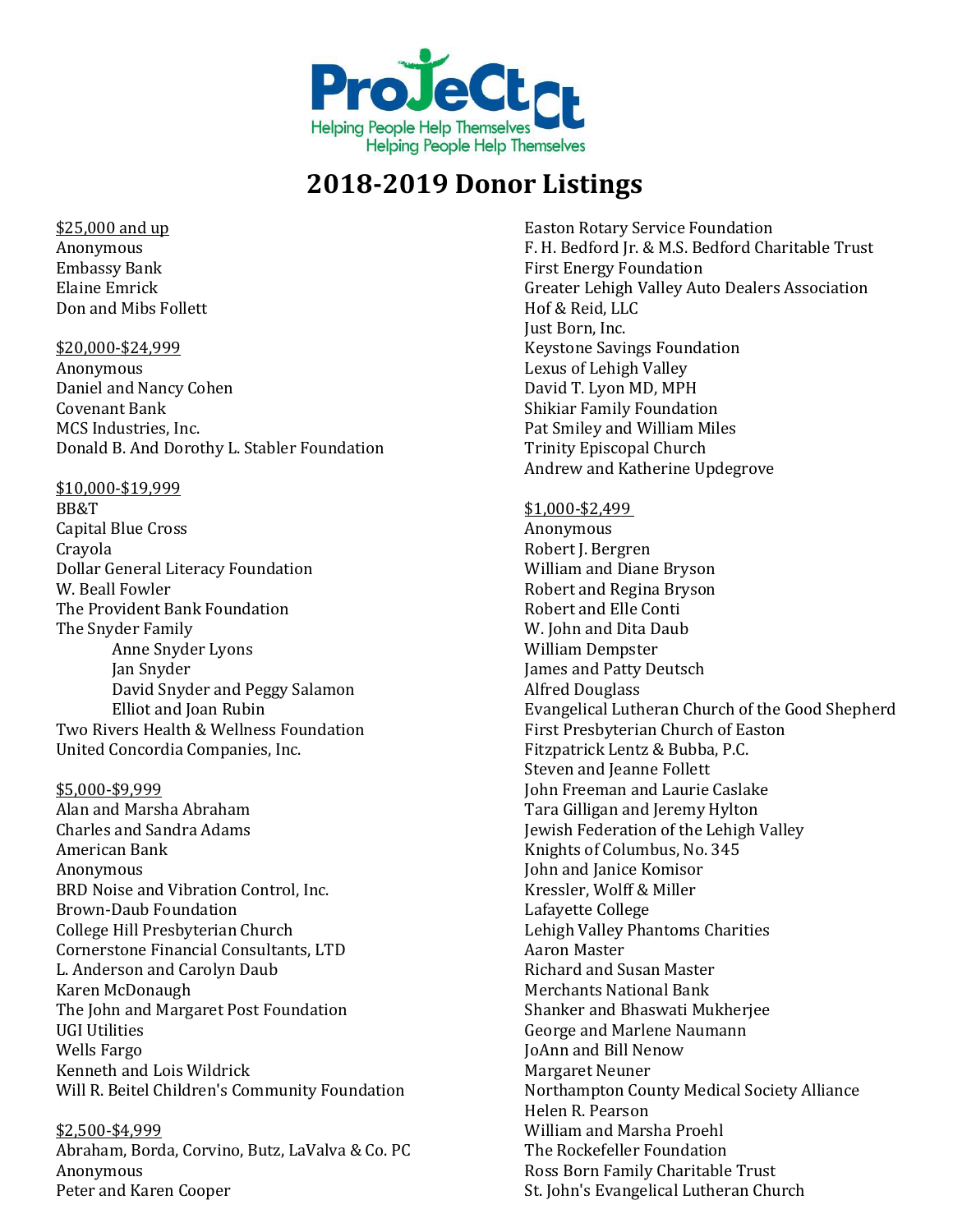

### \$25,000 and up Anonymous Embassy Bank Elaine Emrick Don and Mibs Follett

\$20,000-\$24,999 Anonymous Daniel and Nancy Cohen Covenant Bank MCS Industries, Inc. Donald B. And Dorothy L. Stabler Foundation

### \$10,000-\$19,999

BB&T Capital Blue Cross Crayola Dollar General Literacy Foundation W. Beall Fowler The Provident Bank Foundation The Snyder Family Anne Snyder Lyons Jan Snyder David Snyder and Peggy Salamon Elliot and Joan Rubin Two Rivers Health & Wellness Foundation United Concordia Companies, Inc.

### \$5,000-\$9,999

Alan and Marsha Abraham Charles and Sandra Adams American Bank Anonymous BRD Noise and Vibration Control, Inc. Brown-Daub Foundation College Hill Presbyterian Church Cornerstone Financial Consultants, LTD L. Anderson and Carolyn Daub Karen McDonaugh The John and Margaret Post Foundation UGI Utilities Wells Fargo Kenneth and Lois Wildrick Will R. Beitel Children's Community Foundation

### \$2,500-\$4,999

Abraham, Borda, Corvino, Butz, LaValva & Co. PC Anonymous Peter and Karen Cooper

Easton Rotary Service Foundation F. H. Bedford Jr. & M.S. Bedford Charitable Trust First Energy Foundation Greater Lehigh Valley Auto Dealers Association Hof & Reid, LLC Just Born, Inc. Keystone Savings Foundation Lexus of Lehigh Valley David T. Lyon MD, MPH Shikiar Family Foundation Pat Smiley and William Miles Trinity Episcopal Church Andrew and Katherine Updegrove

### \$1,000-\$2,499

Anonymous Robert J. Bergren William and Diane Bryson Robert and Regina Bryson Robert and Elle Conti W. John and Dita Daub William Dempster James and Patty Deutsch Alfred Douglass Evangelical Lutheran Church of the Good Shepherd First Presbyterian Church of Easton Fitzpatrick Lentz & Bubba, P.C. Steven and Jeanne Follett John Freeman and Laurie Caslake Tara Gilligan and Jeremy Hylton Jewish Federation of the Lehigh Valley Knights of Columbus, No. 345 John and Janice Komisor Kressler, Wolff & Miller Lafayette College Lehigh Valley Phantoms Charities Aaron Master Richard and Susan Master Merchants National Bank Shanker and Bhaswati Mukherjee George and Marlene Naumann JoAnn and Bill Nenow Margaret Neuner Northampton County Medical Society Alliance Helen R. Pearson William and Marsha Proehl The Rockefeller Foundation Ross Born Family Charitable Trust St. John's Evangelical Lutheran Church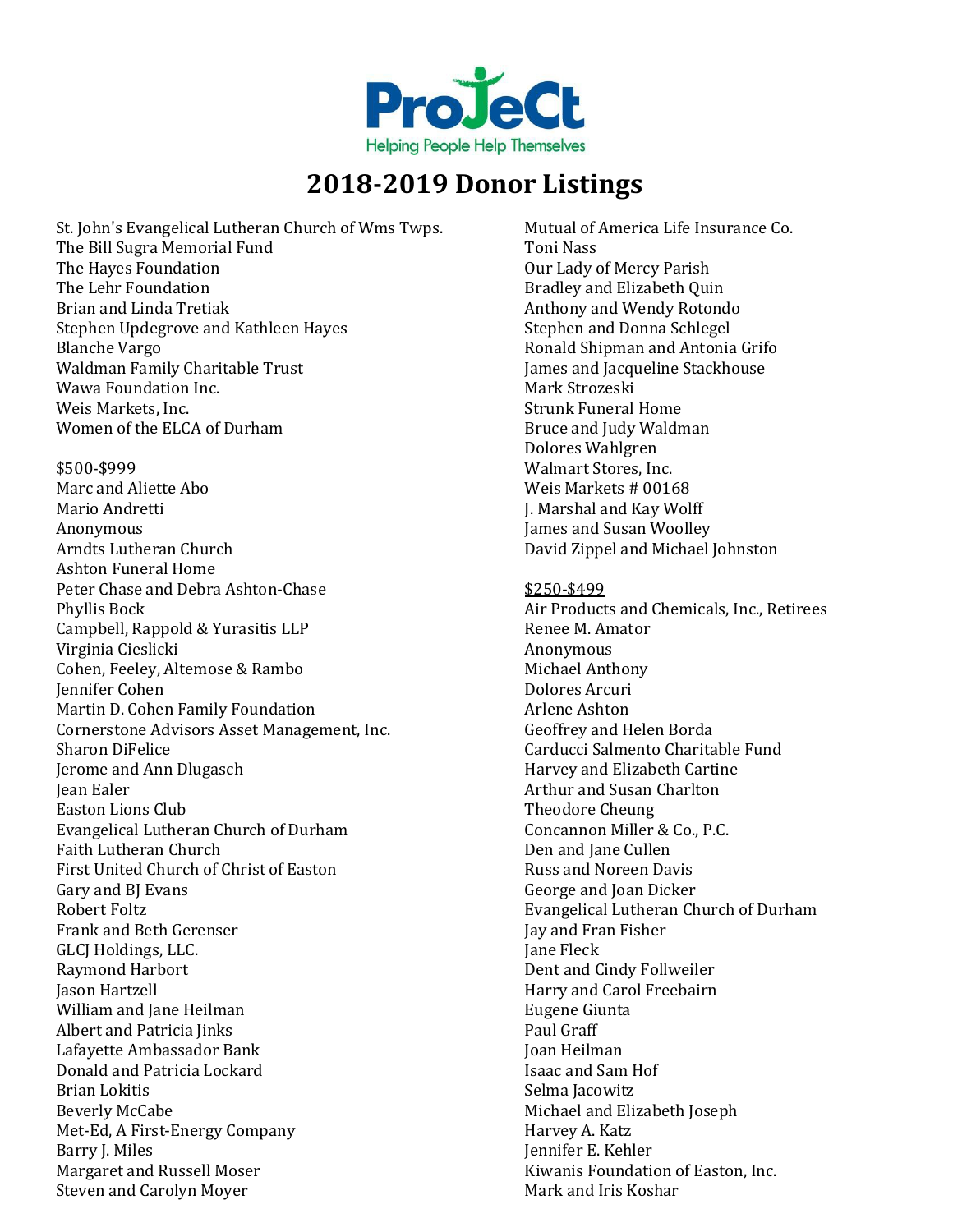

St. John's Evangelical Lutheran Church of Wms Twps. The Bill Sugra Memorial Fund The Hayes Foundation The Lehr Foundation Brian and Linda Tretiak Stephen Updegrove and Kathleen Hayes Blanche Vargo Waldman Family Charitable Trust Wawa Foundation Inc. Weis Markets, Inc. Women of the ELCA of Durham

\$500-\$999 Marc and Aliette Abo

Mario Andretti Anonymous Arndts Lutheran Church Ashton Funeral Home Peter Chase and Debra Ashton-Chase Phyllis Bock Campbell, Rappold & Yurasitis LLP Virginia Cieslicki Cohen, Feeley, Altemose & Rambo Jennifer Cohen Martin D. Cohen Family Foundation Cornerstone Advisors Asset Management, Inc. Sharon DiFelice Jerome and Ann Dlugasch Jean Ealer Easton Lions Club Evangelical Lutheran Church of Durham Faith Lutheran Church First United Church of Christ of Easton Gary and BJ Evans Robert Foltz Frank and Beth Gerenser GLCJ Holdings, LLC. Raymond Harbort Jason Hartzell William and Jane Heilman Albert and Patricia Jinks Lafayette Ambassador Bank Donald and Patricia Lockard Brian Lokitis Beverly McCabe Met-Ed, A First-Energy Company Barry J. Miles Margaret and Russell Moser Steven and Carolyn Moyer

Mutual of America Life Insurance Co. Toni Nass Our Lady of Mercy Parish Bradley and Elizabeth Quin Anthony and Wendy Rotondo Stephen and Donna Schlegel Ronald Shipman and Antonia Grifo James and Jacqueline Stackhouse Mark Strozeski Strunk Funeral Home Bruce and Judy Waldman Dolores Wahlgren Walmart Stores, Inc. Weis Markets # 00168 J. Marshal and Kay Wolff James and Susan Woolley David Zippel and Michael Johnston \$250-\$499 Air Products and Chemicals, Inc., Retirees Renee M. Amator Anonymous Michael Anthony Dolores Arcuri Arlene Ashton Geoffrey and Helen Borda Carducci Salmento Charitable Fund Harvey and Elizabeth Cartine Arthur and Susan Charlton Theodore Cheung Concannon Miller & Co., P.C. Den and Jane Cullen Russ and Noreen Davis George and Joan Dicker Evangelical Lutheran Church of Durham Jay and Fran Fisher Jane Fleck Dent and Cindy Follweiler Harry and Carol Freebairn Eugene Giunta Paul Graff Joan Heilman Isaac and Sam Hof Selma Jacowitz Michael and Elizabeth Joseph Harvey A. Katz Jennifer E. Kehler Kiwanis Foundation of Easton, Inc.

Mark and Iris Koshar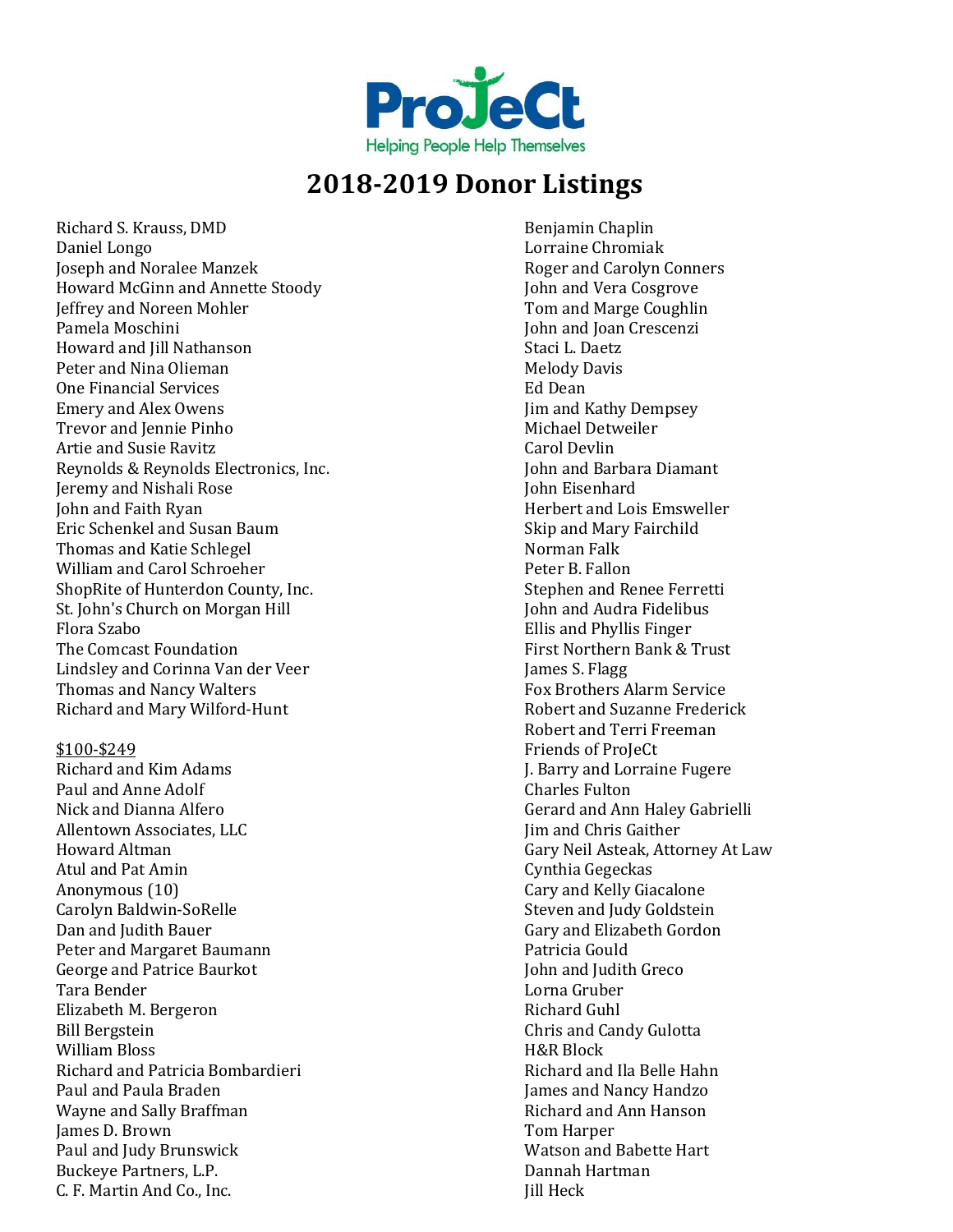

Richard S. Krauss, DMD Daniel Longo Joseph and Noralee Manzek Howard McGinn and Annette Stoody Jeffrey and Noreen Mohler Pamela Moschini Howard and Jill Nathanson Peter and Nina Olieman One Financial Services Emery and Alex Owens Trevor and Jennie Pinho Artie and Susie Ravitz Reynolds & Reynolds Electronics, Inc. Jeremy and Nishali Rose John and Faith Ryan Eric Schenkel and Susan Baum Thomas and Katie Schlegel William and Carol Schroeher ShopRite of Hunterdon County, Inc. St. John's Church on Morgan Hill Flora Szabo The Comcast Foundation Lindsley and Corinna Van der Veer Thomas and Nancy Walters Richard and Mary Wilford-Hunt

#### \$100-\$249

Richard and Kim Adams Paul and Anne Adolf Nick and Dianna Alfero Allentown Associates, LLC Howard Altman Atul and Pat Amin Anonymous (10) Carolyn Baldwin-SoRelle Dan and Judith Bauer Peter and Margaret Baumann George and Patrice Baurkot Tara Bender Elizabeth M. Bergeron Bill Bergstein William Bloss Richard and Patricia Bombardieri Paul and Paula Braden Wayne and Sally Braffman James D. Brown Paul and Judy Brunswick Buckeye Partners, L.P. C. F. Martin And Co., Inc.

Benjamin Chaplin Lorraine Chromiak Roger and Carolyn Conners John and Vera Cosgrove Tom and Marge Coughlin John and Joan Crescenzi Staci L. Daetz Melody Davis Ed Dean Jim and Kathy Dempsey Michael Detweiler Carol Devlin John and Barbara Diamant John Eisenhard Herbert and Lois Emsweller Skip and Mary Fairchild Norman Falk Peter B. Fallon Stephen and Renee Ferretti John and Audra Fidelibus Ellis and Phyllis Finger First Northern Bank & Trust James S. Flagg Fox Brothers Alarm Service Robert and Suzanne Frederick Robert and Terri Freeman Friends of ProJeCt J. Barry and Lorraine Fugere Charles Fulton Gerard and Ann Haley Gabrielli Jim and Chris Gaither Gary Neil Asteak, Attorney At Law Cynthia Gegeckas Cary and Kelly Giacalone Steven and Judy Goldstein Gary and Elizabeth Gordon Patricia Gould John and Judith Greco Lorna Gruber Richard Guhl Chris and Candy Gulotta H&R Block Richard and Ila Belle Hahn James and Nancy Handzo Richard and Ann Hanson Tom Harper Watson and Babette Hart Dannah Hartman Jill Heck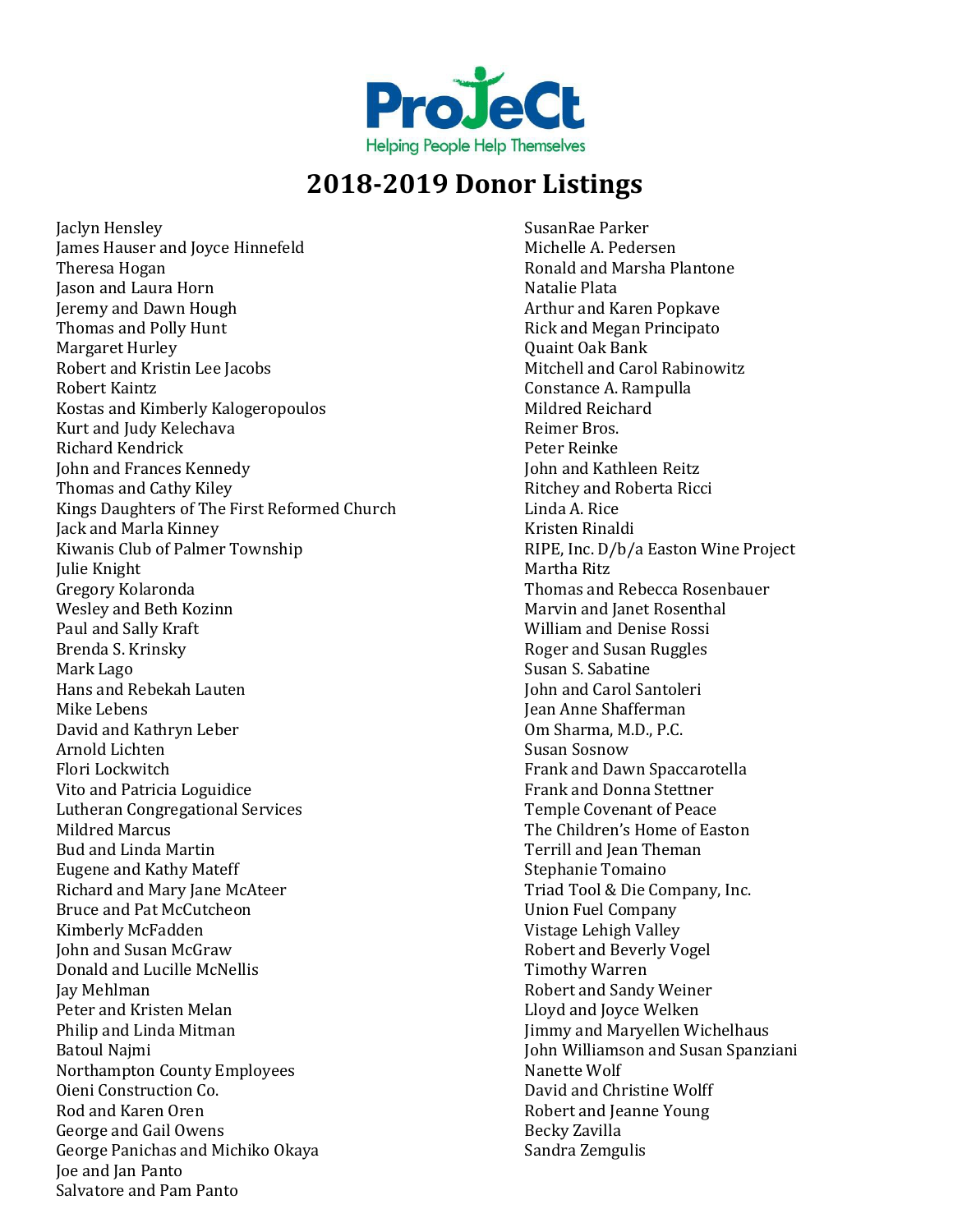

Jaclyn Hensley James Hauser and Joyce Hinnefeld Theresa Hogan Jason and Laura Horn Jeremy and Dawn Hough Thomas and Polly Hunt Margaret Hurley Robert and Kristin Lee Jacobs Robert Kaintz Kostas and Kimberly Kalogeropoulos Kurt and Judy Kelechava Richard Kendrick John and Frances Kennedy Thomas and Cathy Kiley Kings Daughters of The First Reformed Church Jack and Marla Kinney Kiwanis Club of Palmer Township Julie Knight Gregory Kolaronda Wesley and Beth Kozinn Paul and Sally Kraft Brenda S. Krinsky Mark Lago Hans and Rebekah Lauten Mike Lebens David and Kathryn Leber Arnold Lichten Flori Lockwitch Vito and Patricia Loguidice Lutheran Congregational Services Mildred Marcus Bud and Linda Martin Eugene and Kathy Mateff Richard and Mary Jane McAteer Bruce and Pat McCutcheon Kimberly McFadden John and Susan McGraw Donald and Lucille McNellis Jay Mehlman Peter and Kristen Melan Philip and Linda Mitman Batoul Najmi Northampton County Employees Oieni Construction Co. Rod and Karen Oren George and Gail Owens George Panichas and Michiko Okaya Joe and Jan Panto Salvatore and Pam Panto

SusanRae Parker Michelle A. Pedersen Ronald and Marsha Plantone Natalie Plata Arthur and Karen Popkave Rick and Megan Principato Quaint Oak Bank Mitchell and Carol Rabinowitz Constance A. Rampulla Mildred Reichard Reimer Bros. Peter Reinke John and Kathleen Reitz Ritchey and Roberta Ricci Linda A. Rice Kristen Rinaldi RIPE, Inc. D/b/a Easton Wine Project Martha Ritz Thomas and Rebecca Rosenbauer Marvin and Janet Rosenthal William and Denise Rossi Roger and Susan Ruggles Susan S. Sabatine John and Carol Santoleri Jean Anne Shafferman Om Sharma, M.D., P.C. Susan Sosnow Frank and Dawn Spaccarotella Frank and Donna Stettner Temple Covenant of Peace The Children's Home of Easton Terrill and Jean Theman Stephanie Tomaino Triad Tool & Die Company, Inc. Union Fuel Company Vistage Lehigh Valley Robert and Beverly Vogel Timothy Warren Robert and Sandy Weiner Lloyd and Joyce Welken Jimmy and Maryellen Wichelhaus John Williamson and Susan Spanziani Nanette Wolf David and Christine Wolff Robert and Jeanne Young Becky Zavilla Sandra Zemgulis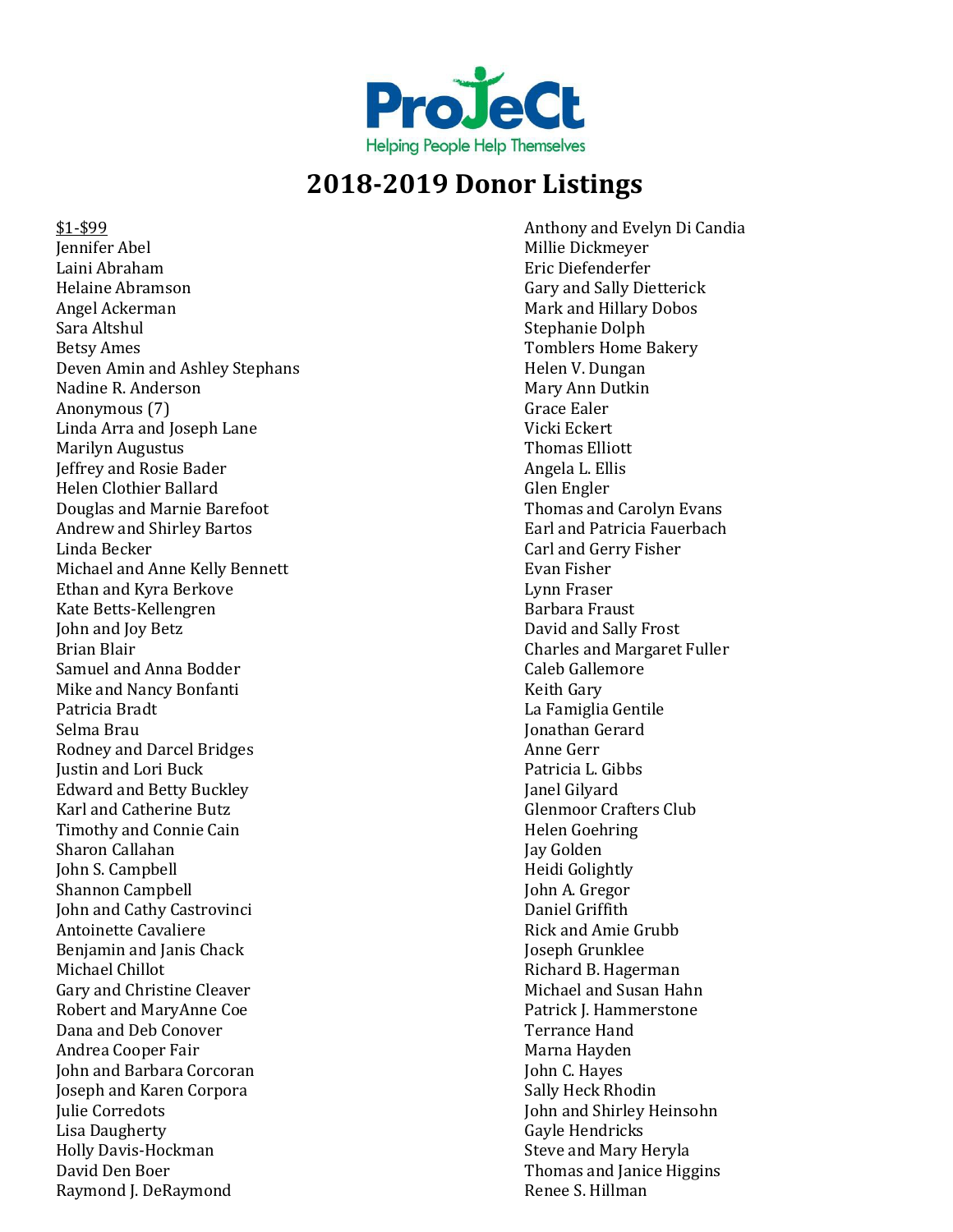

\$1-\$99 Jennifer Abel Laini Abraham Helaine Abramson Angel Ackerman Sara Altshul Betsy Ames Deven Amin and Ashley Stephans Nadine R. Anderson Anonymous (7) Linda Arra and Joseph Lane Marilyn Augustus Jeffrey and Rosie Bader Helen Clothier Ballard Douglas and Marnie Barefoot Andrew and Shirley Bartos Linda Becker Michael and Anne Kelly Bennett Ethan and Kyra Berkove Kate Betts-Kellengren John and Joy Betz Brian Blair Samuel and Anna Bodder Mike and Nancy Bonfanti Patricia Bradt Selma Brau Rodney and Darcel Bridges Justin and Lori Buck Edward and Betty Buckley Karl and Catherine Butz Timothy and Connie Cain Sharon Callahan John S. Campbell Shannon Campbell John and Cathy Castrovinci Antoinette Cavaliere Benjamin and Janis Chack Michael Chillot Gary and Christine Cleaver Robert and MaryAnne Coe Dana and Deb Conover Andrea Cooper Fair John and Barbara Corcoran Joseph and Karen Corpora Julie Corredots Lisa Daugherty Holly Davis-Hockman David Den Boer Raymond J. DeRaymond

Anthony and Evelyn Di Candia Millie Dickmeyer Eric Diefenderfer Gary and Sally Dietterick Mark and Hillary Dobos Stephanie Dolph Tomblers Home Bakery Helen V. Dungan Mary Ann Dutkin Grace Ealer Vicki Eckert Thomas Elliott Angela L. Ellis Glen Engler Thomas and Carolyn Evans Earl and Patricia Fauerbach Carl and Gerry Fisher Evan Fisher Lynn Fraser Barbara Fraust David and Sally Frost Charles and Margaret Fuller Caleb Gallemore Keith Gary La Famiglia Gentile Jonathan Gerard Anne Gerr Patricia L. Gibbs Janel Gilyard Glenmoor Crafters Club Helen Goehring Jay Golden Heidi Golightly John A. Gregor Daniel Griffith Rick and Amie Grubb Joseph Grunklee Richard B. Hagerman Michael and Susan Hahn Patrick J. Hammerstone Terrance Hand Marna Hayden John C. Hayes Sally Heck Rhodin John and Shirley Heinsohn Gayle Hendricks Steve and Mary Heryla Thomas and Janice Higgins Renee S. Hillman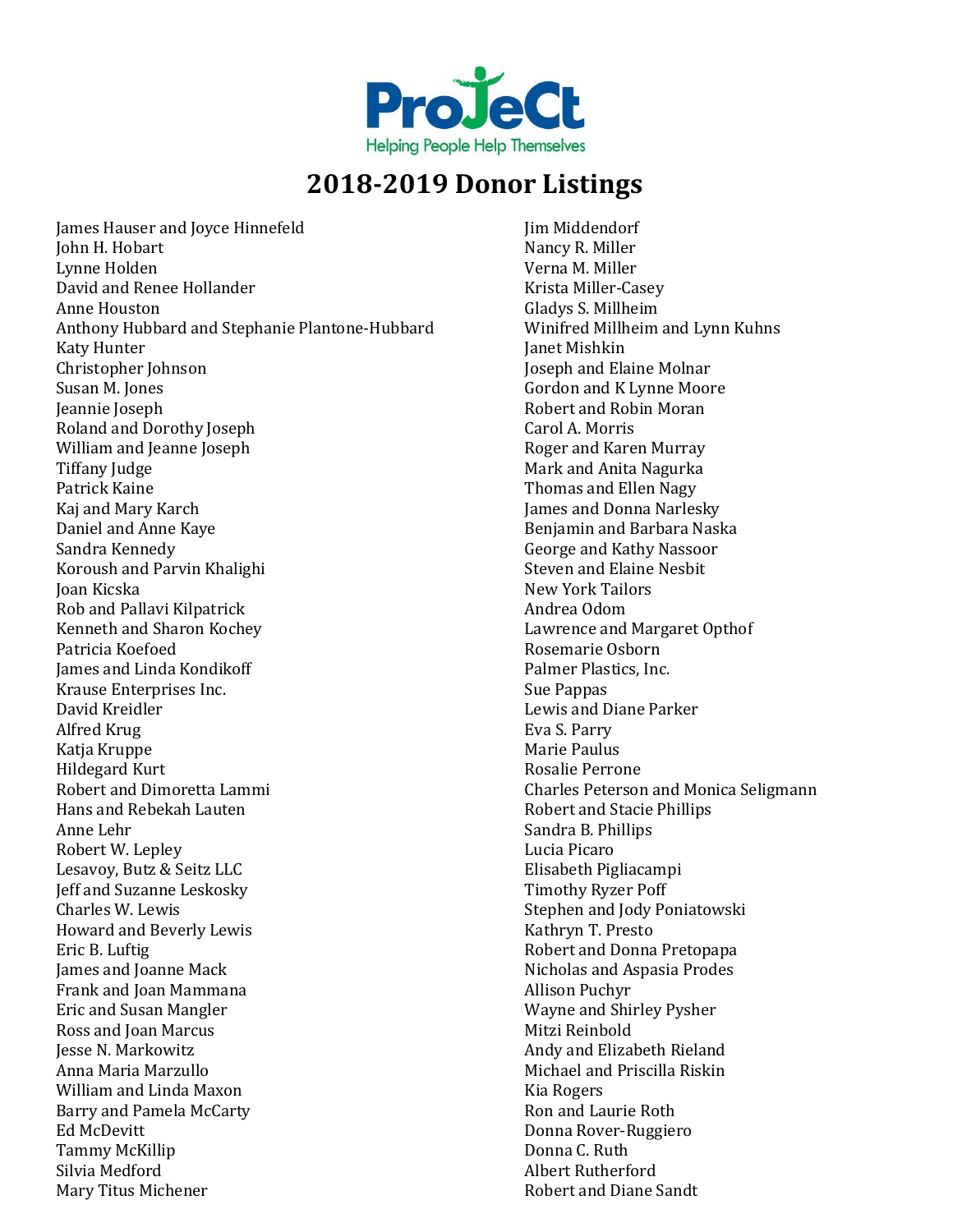

James Hauser and Joyce Hinnefeld John H. Hobart Lynne Holden David and Renee Hollander Anne Houston Anthony Hubbard and Stephanie Plantone-Hubbard Katy Hunter Christopher Johnson Susan M. Jones Jeannie Joseph Roland and Dorothy Joseph William and Jeanne Joseph Tiffany Judge Patrick Kaine Kaj and Mary Karch Daniel and Anne Kaye Sandra Kennedy Koroush and Parvin Khalighi Joan Kicska Rob and Pallavi Kilpatrick Kenneth and Sharon Kochey Patricia Koefoed James and Linda Kondikoff Krause Enterprises Inc. David Kreidler Alfred Krug Katja Kruppe Hildegard Kurt Robert and Dimoretta Lammi Hans and Rebekah Lauten Anne Lehr Robert W. Lepley Lesavoy, Butz & Seitz LLC Jeff and Suzanne Leskosky Charles W. Lewis Howard and Beverly Lewis Eric B. Luftig James and Joanne Mack Frank and Joan Mammana Eric and Susan Mangler Ross and Joan Marcus Jesse N. Markowitz Anna Maria Marzullo William and Linda Maxon Barry and Pamela McCarty Ed McDevitt Tammy McKillip Silvia Medford Mary Titus Michener

Jim Middendorf Nancy R. Miller Verna M. Miller Krista Miller-Casey Gladys S. Millheim Winifred Millheim and Lynn Kuhns Janet Mishkin Joseph and Elaine Molnar Gordon and K Lynne Moore Robert and Robin Moran Carol A. Morris Roger and Karen Murray Mark and Anita Nagurka Thomas and Ellen Nagy James and Donna Narlesky Benjamin and Barbara Naska George and Kathy Nassoor Steven and Elaine Nesbit New York Tailors Andrea Odom Lawrence and Margaret Opthof Rosemarie Osborn Palmer Plastics, Inc. Sue Pappas Lewis and Diane Parker Eva S. Parry Marie Paulus Rosalie Perrone Charles Peterson and Monica Seligmann Robert and Stacie Phillips Sandra B. Phillips Lucia Picaro Elisabeth Pigliacampi Timothy Ryzer Poff Stephen and Jody Poniatowski Kathryn T. Presto Robert and Donna Pretopapa Nicholas and Aspasia Prodes Allison Puchyr Wayne and Shirley Pysher Mitzi Reinbold Andy and Elizabeth Rieland Michael and Priscilla Riskin Kia Rogers Ron and Laurie Roth Donna Rover-Ruggiero Donna C. Ruth Albert Rutherford Robert and Diane Sandt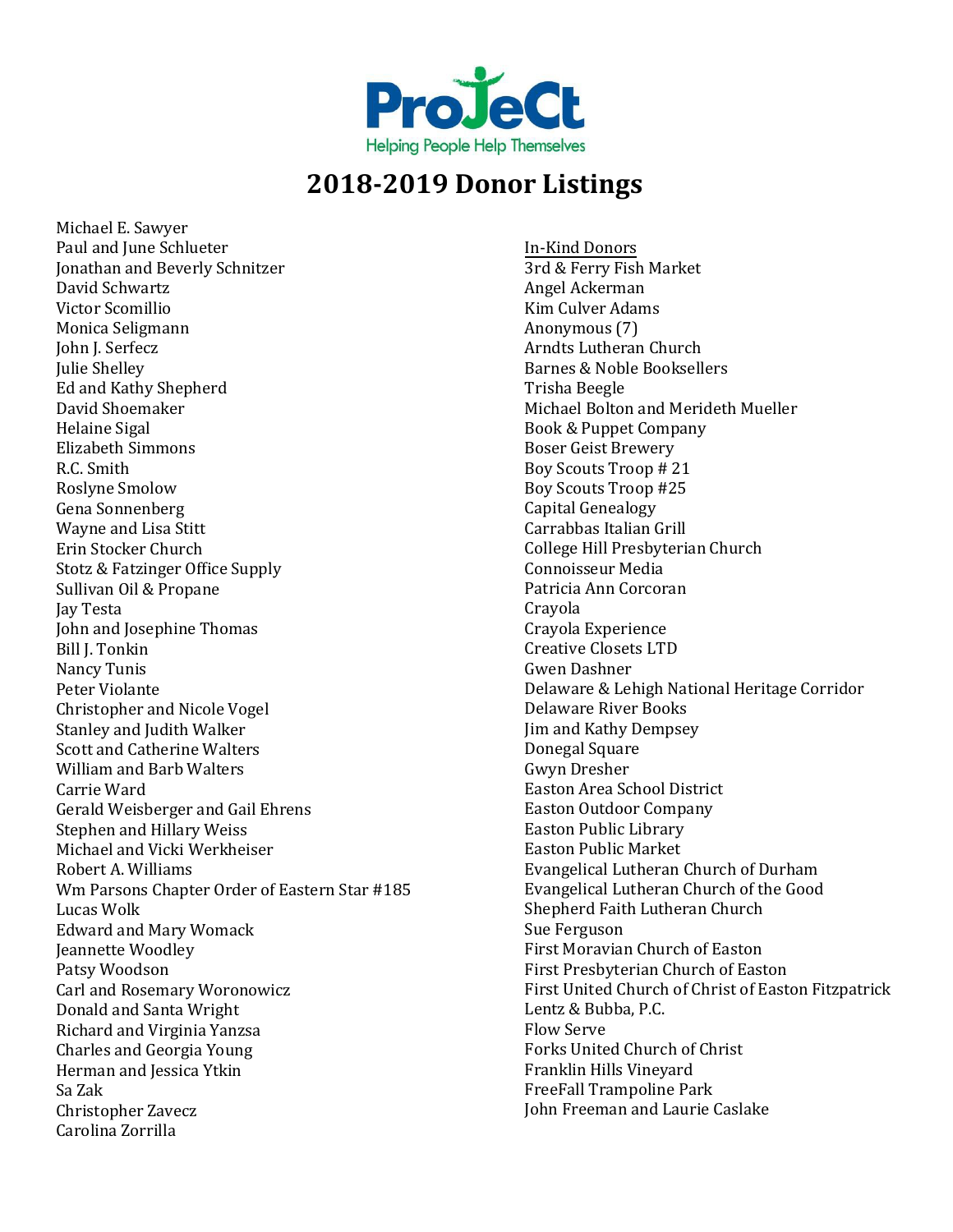

Michael E. Sawyer Paul and June Schlueter Jonathan and Beverly Schnitzer David Schwartz Victor Scomillio Monica Seligmann John J. Serfecz Julie Shelley Ed and Kathy Shepherd David Shoemaker Helaine Sigal Elizabeth Simmons R.C. Smith Roslyne Smolow Gena Sonnenberg Wayne and Lisa Stitt Erin Stocker Church Stotz & Fatzinger Office Supply Sullivan Oil & Propane Jay Testa John and Josephine Thomas Bill J. Tonkin Nancy Tunis Peter Violante Christopher and Nicole Vogel Stanley and Judith Walker Scott and Catherine Walters William and Barb Walters Carrie Ward Gerald Weisberger and Gail Ehrens Stephen and Hillary Weiss Michael and Vicki Werkheiser Robert A. Williams Wm Parsons Chapter Order of Eastern Star #185 Lucas Wolk Edward and Mary Womack Jeannette Woodley Patsy Woodson Carl and Rosemary Woronowicz Donald and Santa Wright Richard and Virginia Yanzsa Charles and Georgia Young Herman and Jessica Ytkin Sa Zak Christopher Zavecz Carolina Zorrilla

In-Kind Donors 3rd & Ferry Fish Market Angel Ackerman Kim Culver Adams Anonymous (7) Arndts Lutheran Church Barnes & Noble Booksellers Trisha Beegle Michael Bolton and Merideth Mueller Book & Puppet Company Boser Geist Brewery Boy Scouts Troop # 21 Boy Scouts Troop #25 Capital Genealogy Carrabbas Italian Grill College Hill Presbyterian Church Connoisseur Media Patricia Ann Corcoran Crayola Crayola Experience Creative Closets LTD Gwen Dashner Delaware & Lehigh National Heritage Corridor Delaware River Books Jim and Kathy Dempsey Donegal Square Gwyn Dresher Easton Area School District Easton Outdoor Company Easton Public Library Easton Public Market Evangelical Lutheran Church of Durham Evangelical Lutheran Church of the Good Shepherd Faith Lutheran Church Sue Ferguson First Moravian Church of Easton First Presbyterian Church of Easton First United Church of Christ of Easton Fitzpatrick Lentz & Bubba, P.C. Flow Serve Forks United Church of Christ Franklin Hills Vineyard FreeFall Trampoline Park John Freeman and Laurie Caslake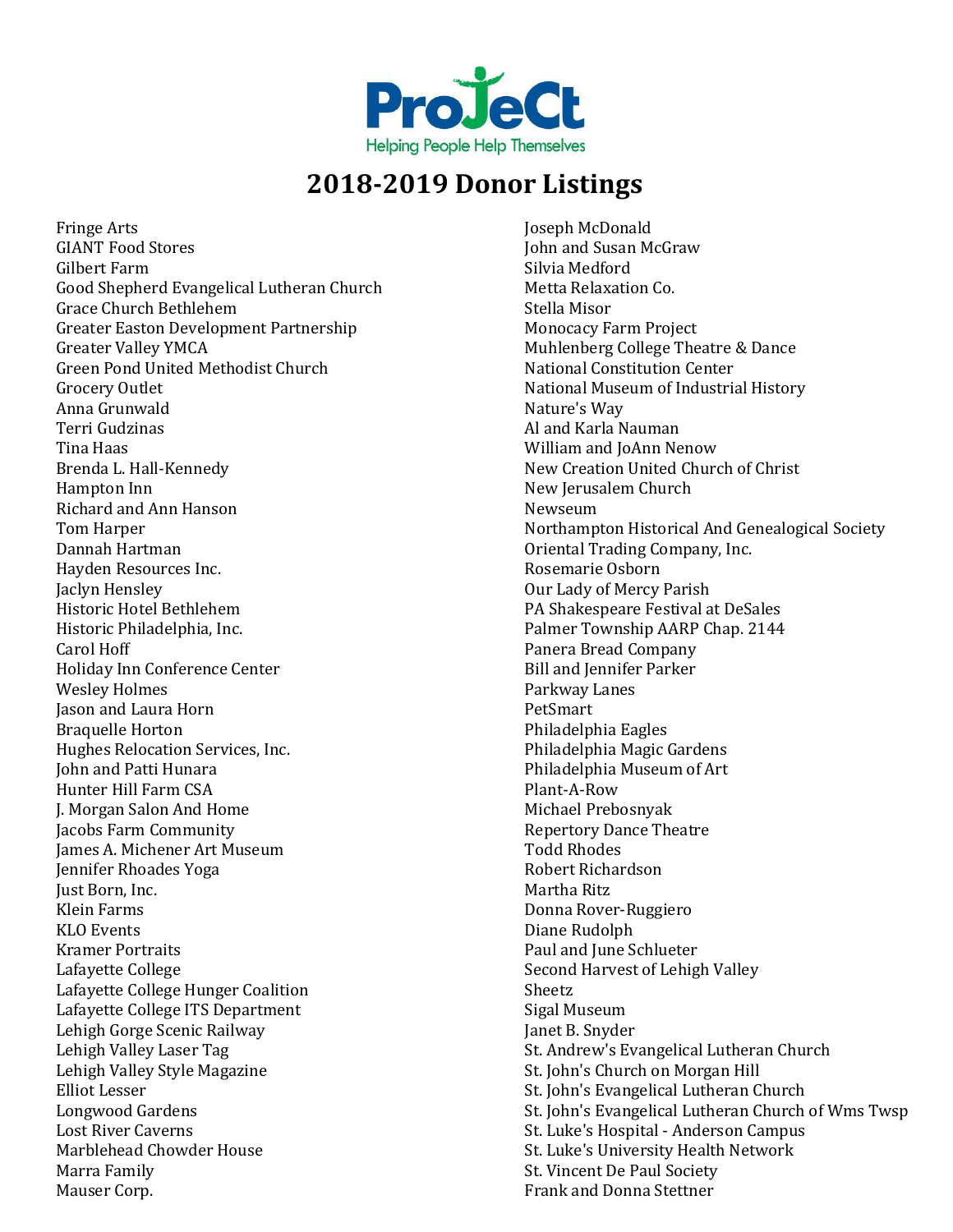

Fringe Arts GIANT Food Stores Gilbert Farm Good Shepherd Evangelical Lutheran Church Grace Church Bethlehem Greater Easton Development Partnership Greater Valley YMCA Green Pond United Methodist Church Grocery Outlet Anna Grunwald Terri Gudzinas Tina Haas Brenda L. Hall-Kennedy Hampton Inn Richard and Ann Hanson Tom Harper Dannah Hartman Hayden Resources Inc. Jaclyn Hensley Historic Hotel Bethlehem Historic Philadelphia, Inc. Carol Hoff Holiday Inn Conference Center Wesley Holmes Jason and Laura Horn Braquelle Horton Hughes Relocation Services, Inc. John and Patti Hunara Hunter Hill Farm CSA J. Morgan Salon And Home Jacobs Farm Community James A. Michener Art Museum Jennifer Rhoades Yoga Just Born, Inc. Klein Farms KLO Events Kramer Portraits Lafayette College Lafayette College Hunger Coalition Lafayette College ITS Department Lehigh Gorge Scenic Railway Lehigh Valley Laser Tag Lehigh Valley Style Magazine Elliot Lesser Longwood Gardens Lost River Caverns Marblehead Chowder House Marra Family Mauser Corp.

Joseph McDonald John and Susan McGraw Silvia Medford Metta Relaxation Co. Stella Misor Monocacy Farm Project Muhlenberg College Theatre & Dance National Constitution Center National Museum of Industrial History Nature's Way Al and Karla Nauman William and JoAnn Nenow New Creation United Church of Christ New Jerusalem Church Newseum Northampton Historical And Genealogical Society Oriental Trading Company, Inc. Rosemarie Osborn Our Lady of Mercy Parish PA Shakespeare Festival at DeSales Palmer Township AARP Chap. 2144 Panera Bread Company Bill and Jennifer Parker Parkway Lanes PetSmart Philadelphia Eagles Philadelphia Magic Gardens Philadelphia Museum of Art Plant-A-Row Michael Prebosnyak Repertory Dance Theatre Todd Rhodes Robert Richardson Martha Ritz Donna Rover-Ruggiero Diane Rudolph Paul and June Schlueter Second Harvest of Lehigh Valley Sheetz Sigal Museum Janet B. Snyder St. Andrew's Evangelical Lutheran Church St. John's Church on Morgan Hill St. John's Evangelical Lutheran Church St. John's Evangelical Lutheran Church of Wms Twsp St. Luke's Hospital - Anderson Campus St. Luke's University Health Network St. Vincent De Paul Society Frank and Donna Stettner